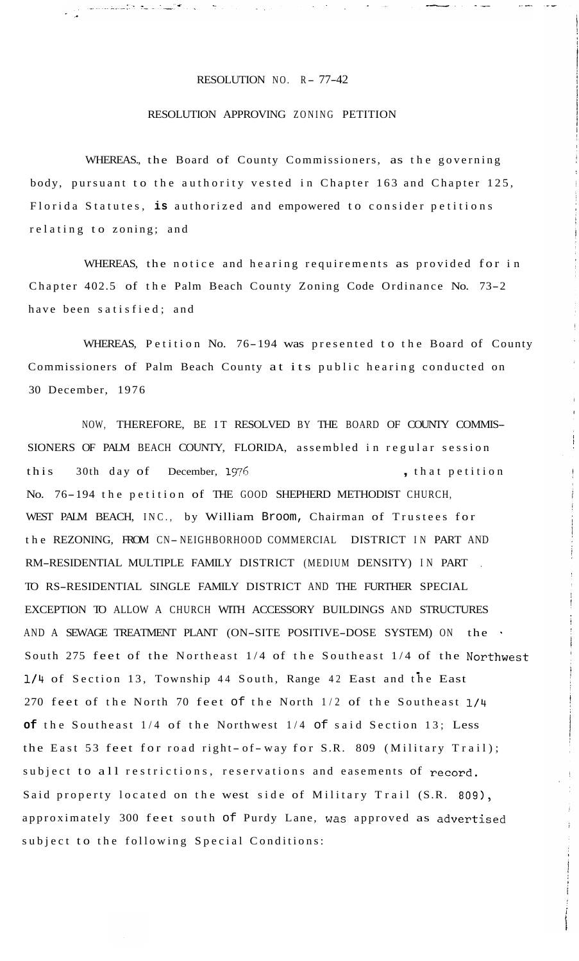## RESOLUTION NO.  $R - 77-42$

## RESOLUTION APPROVING ZONING PETITION

WHEREAS., the Board of County Commissioners, as the governing body, pursuant to the authority vested in Chapter 163 and Chapter 125, Florida Statutes, **is** authorized and empowered to consider petitions relating to zoning; and

WHEREAS, the notice and hearing requirements as provided for in Chapter 402.5 of the Palm Beach County Zoning Code Ordinance No. 73-2 have been satisfied; and

WHEREAS, Petition No. 76-194 was presented to the Board of County Commissioners of Palm Beach County at its public hearing conducted on 30 December, 1976

NOW, THEREFORE, BE IT RESOLVED BY THE BOARD OF COUNTY COMMIS-SIONERS OF PALM BEACH COUNTY, FLORIDA, assembled in regular session this 30th day of December, 1976 , that petition No. 76-194 the petition of THE GOOD SHEPHERD METHODIST CHURCH, WEST PALM BEACH, INC., by William Broom, Chairman of Trustees for the REZONING, FROM CN-NEIGHBORHOOD COMMERCIAL DISTRICT IN PART AND RM-RESIDENTIAL MULTIPLE FAMILY DISTRICT (MEDIUM DENSITY) IN PART , TO RS-RESIDENTIAL SINGLE FAMILY DISTRICT AND THE FURTHER SPECIAL EXCEPTION TO ALLOW A CHURCH WITH ACCESSORY BUILDINGS AND STRUCTURES AND A SEWAGE TREATMENT PLANT (ON-SITE POSITIVE-DOSE SYSTEM) ON the South 275 feet of the Northeast 1/4 of the Southeast 1/4 of the Northwest<br>1/4 of Section 13 Township 44 South, Bange 42 East and the East **1/4** of Section 13, Township 44 South, Range 42 East and the East 270 feet of the North 70 feet of the North 1/2 of the Southeast 1/4 **of** the Southeast 1/4 of the Northwest 1/4 of said Section 13; Less the East 53 feet for road right- of-way for S.R. 809 (Military Trail); subject to all restrictions, reservations and easements of record. Said property located on the west side of Military Trail (S.R. 809), approximately 300 feet south of Purdy Lane, was approved as advertised subject to the following Special Conditions: